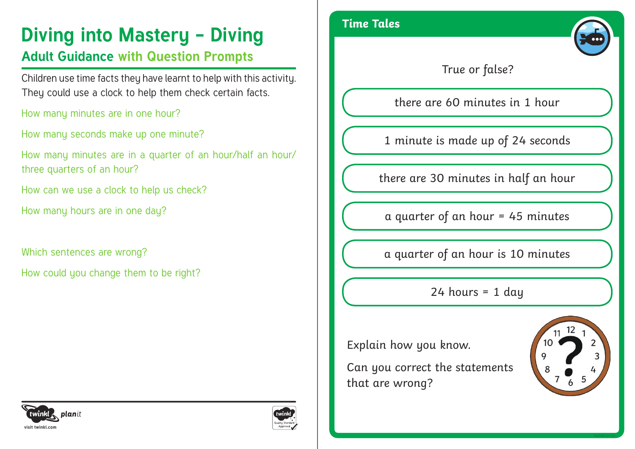# **Diving into Mastery - Diving Time Tales**

## **Adult Guidance with Question Prompts**

Children use time facts they have learnt to help with this activity. They could use a clock to help them check certain facts.

How many minutes are in one hour?

How many seconds make up one minute?

How many minutes are in a quarter of an hour/half an hour/ three quarters of an hour?

How can we use a clock to help us check?

How many hours are in one day?

Which sentences are wrong?

How could you change them to be right?





True or false?

there are 60 minutes in 1 hour

1 minute is made up of 24 seconds

there are 30 minutes in half an hour

a quarter of an hour = 45 minutes

a quarter of an hour is 10 minutes

 $24$  hours = 1 day

Explain how you know.

Can you correct the statements that are wrong?



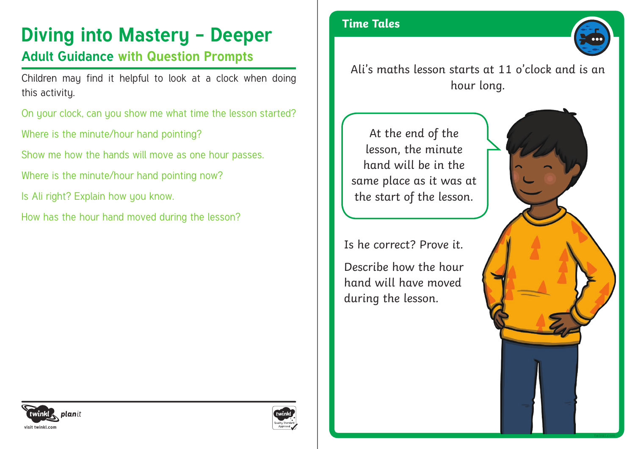# **Diving into Mastery - Deeper** Time Tales

### **Adult Guidance with Question Prompts**

Children may find it helpful to look at a clock when doing this activity.

On your clock, can you show me what time the lesson started?

Where is the minute/hour hand pointing?

Show me how the hands will move as one hour passes.

Where is the minute/hour hand pointing now?

Is Ali right? Explain how you know.

How has the hour hand moved during the lesson?



Ali's maths lesson starts at 11 o'clock and is an hour long.

At the end of the lesson, the minute hand will be in the same place as it was at the start of the lesson.

Is he correct? Prove it.

Describe how the hour hand will have moved during the lesson.